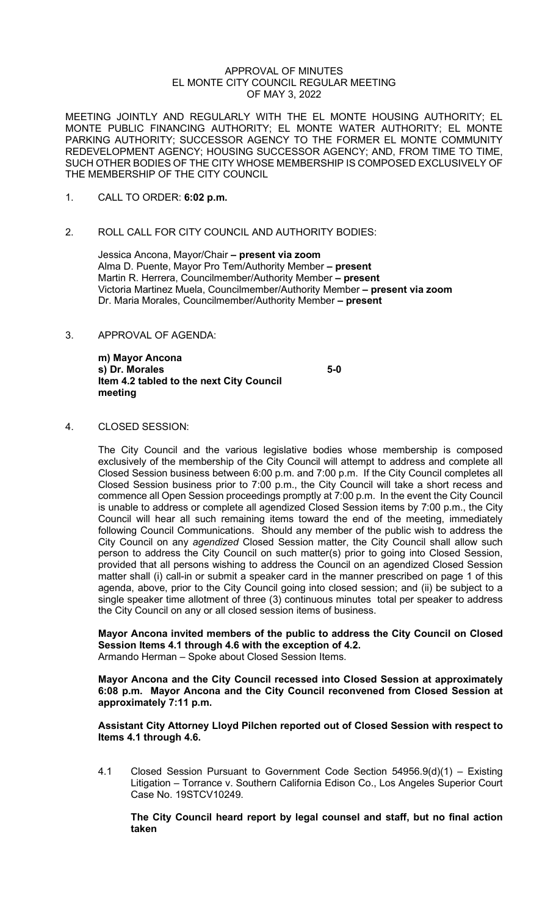#### APPROVAL OF MINUTES EL MONTE CITY COUNCIL REGULAR MEETING OF MAY 3, 2022

MEETING JOINTLY AND REGULARLY WITH THE EL MONTE HOUSING AUTHORITY; EL MONTE PUBLIC FINANCING AUTHORITY; EL MONTE WATER AUTHORITY; EL MONTE PARKING AUTHORITY; SUCCESSOR AGENCY TO THE FORMER EL MONTE COMMUNITY REDEVELOPMENT AGENCY; HOUSING SUCCESSOR AGENCY; AND, FROM TIME TO TIME, SUCH OTHER BODIES OF THE CITY WHOSE MEMBERSHIP IS COMPOSED EXCLUSIVELY OF THE MEMBERSHIP OF THE CITY COUNCIL

- 1. CALL TO ORDER: **6:02 p.m.**
- 2. ROLL CALL FOR CITY COUNCIL AND AUTHORITY BODIES:

Jessica Ancona, Mayor/Chair **– present via zoom** Alma D. Puente, Mayor Pro Tem/Authority Member **– present** Martin R. Herrera, Councilmember/Authority Member **– present** Victoria Martinez Muela, Councilmember/Authority Member **– present via zoom** Dr. Maria Morales, Councilmember/Authority Member **– present**

3. APPROVAL OF AGENDA:

**m) Mayor Ancona s) Dr. Morales 5-0 Item 4.2 tabled to the next City Council meeting**

4. CLOSED SESSION:

The City Council and the various legislative bodies whose membership is composed exclusively of the membership of the City Council will attempt to address and complete all Closed Session business between 6:00 p.m. and 7:00 p.m. If the City Council completes all Closed Session business prior to 7:00 p.m., the City Council will take a short recess and commence all Open Session proceedings promptly at 7:00 p.m. In the event the City Council is unable to address or complete all agendized Closed Session items by 7:00 p.m., the City Council will hear all such remaining items toward the end of the meeting, immediately following Council Communications. Should any member of the public wish to address the City Council on any *agendized* Closed Session matter, the City Council shall allow such person to address the City Council on such matter(s) prior to going into Closed Session, provided that all persons wishing to address the Council on an agendized Closed Session matter shall (i) call-in or submit a speaker card in the manner prescribed on page 1 of this agenda, above, prior to the City Council going into closed session; and (ii) be subject to a single speaker time allotment of three (3) continuous minutes total per speaker to address the City Council on any or all closed session items of business.

**Mayor Ancona invited members of the public to address the City Council on Closed Session Items 4.1 through 4.6 with the exception of 4.2.**  Armando Herman – Spoke about Closed Session Items.

**Mayor Ancona and the City Council recessed into Closed Session at approximately 6:08 p.m. Mayor Ancona and the City Council reconvened from Closed Session at approximately 7:11 p.m.**

**Assistant City Attorney Lloyd Pilchen reported out of Closed Session with respect to Items 4.1 through 4.6.** 

4.1 Closed Session Pursuant to Government Code Section 54956.9(d)(1) – Existing Litigation – Torrance v. Southern California Edison Co., Los Angeles Superior Court Case No. 19STCV10249.

**The City Council heard report by legal counsel and staff, but no final action taken**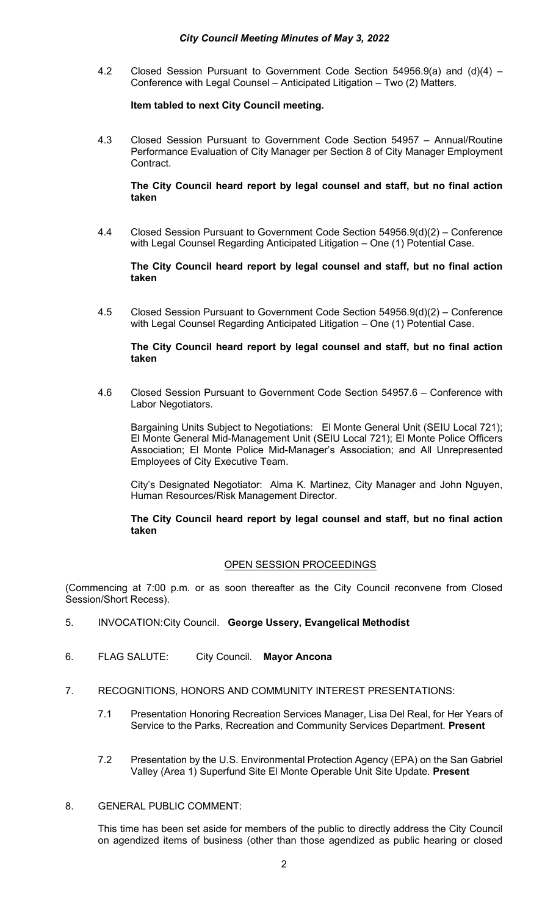# *City Council Meeting Minutes of May 3, 2022*

4.2 Closed Session Pursuant to Government Code Section 54956.9(a) and (d)(4) – Conference with Legal Counsel – Anticipated Litigation – Two (2) Matters.

# **Item tabled to next City Council meeting.**

4.3 Closed Session Pursuant to Government Code Section 54957 – Annual/Routine Performance Evaluation of City Manager per Section 8 of City Manager Employment Contract.

# **The City Council heard report by legal counsel and staff, but no final action taken**

4.4 Closed Session Pursuant to Government Code Section 54956.9(d)(2) – Conference with Legal Counsel Regarding Anticipated Litigation – One (1) Potential Case.

# **The City Council heard report by legal counsel and staff, but no final action taken**

4.5 Closed Session Pursuant to Government Code Section 54956.9(d)(2) – Conference with Legal Counsel Regarding Anticipated Litigation – One (1) Potential Case.

#### **The City Council heard report by legal counsel and staff, but no final action taken**

4.6 Closed Session Pursuant to Government Code Section 54957.6 – Conference with Labor Negotiators.

Bargaining Units Subject to Negotiations: El Monte General Unit (SEIU Local 721); El Monte General Mid-Management Unit (SEIU Local 721); El Monte Police Officers Association; El Monte Police Mid-Manager's Association; and All Unrepresented Employees of City Executive Team.

City's Designated Negotiator: Alma K. Martinez, City Manager and John Nguyen, Human Resources/Risk Management Director.

#### **The City Council heard report by legal counsel and staff, but no final action taken**

# OPEN SESSION PROCEEDINGS

(Commencing at 7:00 p.m. or as soon thereafter as the City Council reconvene from Closed Session/Short Recess).

- 5. INVOCATION:City Council. **George Ussery, Evangelical Methodist**
- 6. FLAG SALUTE: City Council. **Mayor Ancona**
- 7. RECOGNITIONS, HONORS AND COMMUNITY INTEREST PRESENTATIONS:
	- 7.1 Presentation Honoring Recreation Services Manager, Lisa Del Real, for Her Years of Service to the Parks, Recreation and Community Services Department. **Present**
	- 7.2 Presentation by the U.S. Environmental Protection Agency (EPA) on the San Gabriel Valley (Area 1) Superfund Site El Monte Operable Unit Site Update. **Present**
- 8. GENERAL PUBLIC COMMENT:

This time has been set aside for members of the public to directly address the City Council on agendized items of business (other than those agendized as public hearing or closed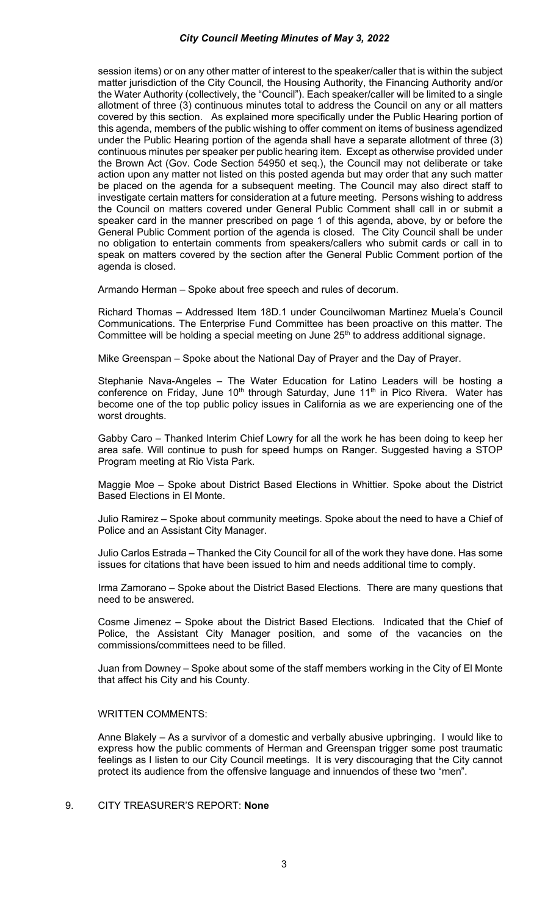session items) or on any other matter of interest to the speaker/caller that is within the subject matter jurisdiction of the City Council, the Housing Authority, the Financing Authority and/or the Water Authority (collectively, the "Council"). Each speaker/caller will be limited to a single allotment of three (3) continuous minutes total to address the Council on any or all matters covered by this section. As explained more specifically under the Public Hearing portion of this agenda, members of the public wishing to offer comment on items of business agendized under the Public Hearing portion of the agenda shall have a separate allotment of three (3) continuous minutes per speaker per public hearing item. Except as otherwise provided under the Brown Act (Gov. Code Section 54950 et seq.), the Council may not deliberate or take action upon any matter not listed on this posted agenda but may order that any such matter be placed on the agenda for a subsequent meeting. The Council may also direct staff to investigate certain matters for consideration at a future meeting. Persons wishing to address the Council on matters covered under General Public Comment shall call in or submit a speaker card in the manner prescribed on page 1 of this agenda, above, by or before the General Public Comment portion of the agenda is closed. The City Council shall be under no obligation to entertain comments from speakers/callers who submit cards or call in to speak on matters covered by the section after the General Public Comment portion of the agenda is closed.

Armando Herman – Spoke about free speech and rules of decorum.

Richard Thomas – Addressed Item 18D.1 under Councilwoman Martinez Muela's Council Communications. The Enterprise Fund Committee has been proactive on this matter. The Committee will be holding a special meeting on June  $25<sup>th</sup>$  to address additional signage.

Mike Greenspan – Spoke about the National Day of Prayer and the Day of Prayer.

Stephanie Nava-Angeles – The Water Education for Latino Leaders will be hosting a conference on Friday, June  $10<sup>th</sup>$  through Saturday, June  $11<sup>th</sup>$  in Pico Rivera. Water has become one of the top public policy issues in California as we are experiencing one of the worst droughts.

Gabby Caro – Thanked Interim Chief Lowry for all the work he has been doing to keep her area safe. Will continue to push for speed humps on Ranger. Suggested having a STOP Program meeting at Rio Vista Park.

Maggie Moe – Spoke about District Based Elections in Whittier. Spoke about the District Based Elections in El Monte.

Julio Ramirez – Spoke about community meetings. Spoke about the need to have a Chief of Police and an Assistant City Manager.

Julio Carlos Estrada – Thanked the City Council for all of the work they have done. Has some issues for citations that have been issued to him and needs additional time to comply.

Irma Zamorano – Spoke about the District Based Elections. There are many questions that need to be answered.

Cosme Jimenez – Spoke about the District Based Elections. Indicated that the Chief of Police, the Assistant City Manager position, and some of the vacancies on the commissions/committees need to be filled.

Juan from Downey – Spoke about some of the staff members working in the City of El Monte that affect his City and his County.

#### WRITTEN COMMENTS:

Anne Blakely – As a survivor of a domestic and verbally abusive upbringing. I would like to express how the public comments of Herman and Greenspan trigger some post traumatic feelings as I listen to our City Council meetings. It is very discouraging that the City cannot protect its audience from the offensive language and innuendos of these two "men".

# 9. CITY TREASURER'S REPORT: **None**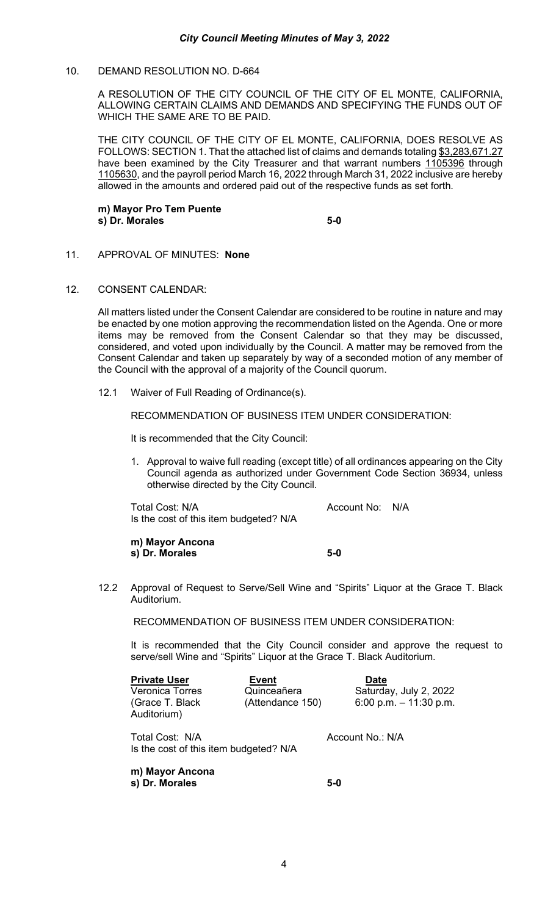# 10. DEMAND RESOLUTION NO. D-664

A RESOLUTION OF THE CITY COUNCIL OF THE CITY OF EL MONTE, CALIFORNIA, ALLOWING CERTAIN CLAIMS AND DEMANDS AND SPECIFYING THE FUNDS OUT OF WHICH THE SAME ARE TO BE PAID.

THE CITY COUNCIL OF THE CITY OF EL MONTE, CALIFORNIA, DOES RESOLVE AS FOLLOWS: SECTION 1. That the attached list of claims and demands totaling \$3,283,671.27 have been examined by the City Treasurer and that warrant numbers 1105396 through 1105630, and the payroll period March 16, 2022 through March 31, 2022 inclusive are hereby allowed in the amounts and ordered paid out of the respective funds as set forth.

**m) Mayor Pro Tem Puente s**) Dr. Morales 5-0

- 11. APPROVAL OF MINUTES: **None**
- 12. CONSENT CALENDAR:

All matters listed under the Consent Calendar are considered to be routine in nature and may be enacted by one motion approving the recommendation listed on the Agenda. One or more items may be removed from the Consent Calendar so that they may be discussed, considered, and voted upon individually by the Council. A matter may be removed from the Consent Calendar and taken up separately by way of a seconded motion of any member of the Council with the approval of a majority of the Council quorum.

12.1 Waiver of Full Reading of Ordinance(s).

RECOMMENDATION OF BUSINESS ITEM UNDER CONSIDERATION:

It is recommended that the City Council:

1. Approval to waive full reading (except title) of all ordinances appearing on the City Council agenda as authorized under Government Code Section 36934, unless otherwise directed by the City Council.

Total Cost: N/A Account No: N/A Is the cost of this item budgeted? N/A

**m) Mayor Ancona s) Dr. Morales 5-0** 

12.2 Approval of Request to Serve/Sell Wine and "Spirits" Liquor at the Grace T. Black Auditorium.

RECOMMENDATION OF BUSINESS ITEM UNDER CONSIDERATION:

It is recommended that the City Council consider and approve the request to serve/sell Wine and "Spirits" Liquor at the Grace T. Black Auditorium.

**Private User 6 Event Constructed Bate** Veronica Torres (Grace T. Black Auditorium)

Quinceañera (Attendance 150) Saturday, July 2, 2022 6:00 p.m. – 11:30 p.m.

Total Cost: N/A Account No.: N/A Is the cost of this item budgeted? N/A

**m) Mayor Ancona s) Dr. Morales 5-0**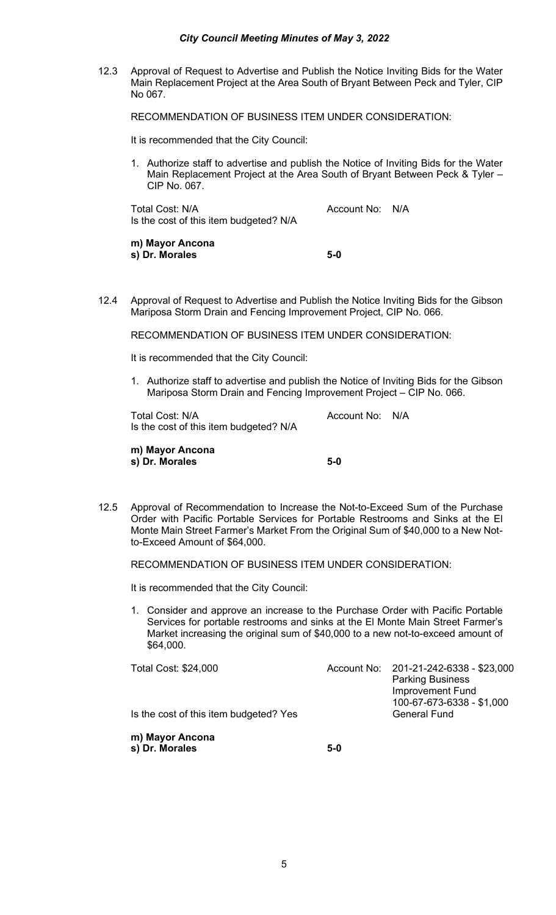#### *City Council Meeting Minutes of May 3, 2022*

12.3 Approval of Request to Advertise and Publish the Notice Inviting Bids for the Water Main Replacement Project at the Area South of Bryant Between Peck and Tyler, CIP No 067.

RECOMMENDATION OF BUSINESS ITEM UNDER CONSIDERATION:

It is recommended that the City Council:

1. Authorize staff to advertise and publish the Notice of Inviting Bids for the Water Main Replacement Project at the Area South of Bryant Between Peck & Tyler – CIP No. 067.

Total Cost: N/A and Total Cost: N/A Is the cost of this item budgeted? N/A

**m) Mayor Ancona s) Dr. Morales 5-0**

12.4 Approval of Request to Advertise and Publish the Notice Inviting Bids for the Gibson Mariposa Storm Drain and Fencing Improvement Project, CIP No. 066.

RECOMMENDATION OF BUSINESS ITEM UNDER CONSIDERATION:

It is recommended that the City Council:

1. Authorize staff to advertise and publish the Notice of Inviting Bids for the Gibson Mariposa Storm Drain and Fencing Improvement Project – CIP No. 066.

Total Cost: N/A and Cost Count No: N/A Is the cost of this item budgeted? N/A

**m) Mayor Ancona s) Dr. Morales 5-0**

12.5 Approval of Recommendation to Increase the Not-to-Exceed Sum of the Purchase Order with Pacific Portable Services for Portable Restrooms and Sinks at the El Monte Main Street Farmer's Market From the Original Sum of \$40,000 to a New Notto-Exceed Amount of \$64,000.

RECOMMENDATION OF BUSINESS ITEM UNDER CONSIDERATION:

It is recommended that the City Council:

1. Consider and approve an increase to the Purchase Order with Pacific Portable Services for portable restrooms and sinks at the El Monte Main Street Farmer's Market increasing the original sum of \$40,000 to a new not-to-exceed amount of \$64,000.

Total Cost: \$24,000 Account No: 201-21-242-6338 - \$23,000 Parking Business Improvement Fund 100-67-673-6338 - \$1,000 Is the cost of this item budgeted? Yes

**m) Mayor Ancona s) Dr. Morales 5-0**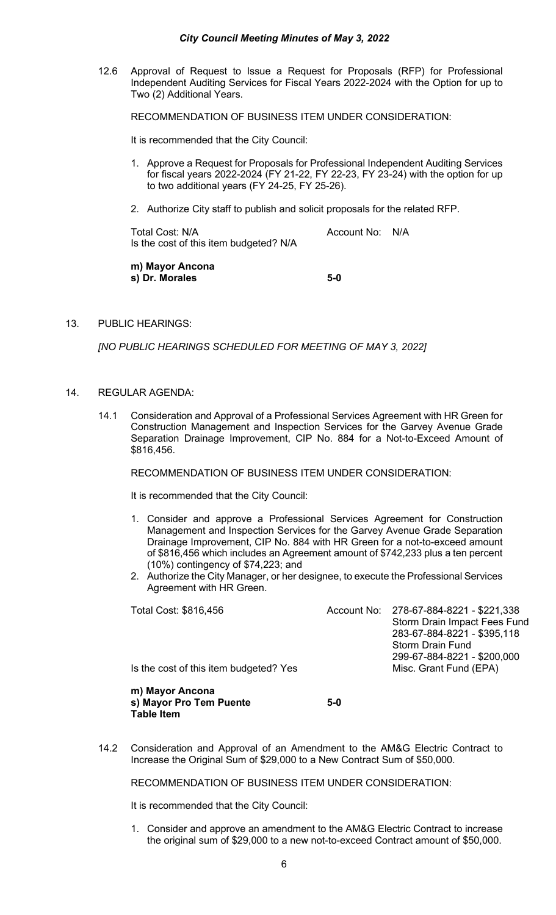12.6 Approval of Request to Issue a Request for Proposals (RFP) for Professional Independent Auditing Services for Fiscal Years 2022-2024 with the Option for up to Two (2) Additional Years.

RECOMMENDATION OF BUSINESS ITEM UNDER CONSIDERATION:

It is recommended that the City Council:

- 1. Approve a Request for Proposals for Professional Independent Auditing Services for fiscal years 2022-2024 (FY 21-22, FY 22-23, FY 23-24) with the option for up to two additional years (FY 24-25, FY 25-26).
- 2. Authorize City staff to publish and solicit proposals for the related RFP.

Total Cost: N/A and Total Cost: N/A Is the cost of this item budgeted? N/A

**m) Mayor Ancona s) Dr. Morales 5-0**

13. PUBLIC HEARINGS:

*[NO PUBLIC HEARINGS SCHEDULED FOR MEETING OF MAY 3, 2022]*

- 14. REGULAR AGENDA:
	- 14.1 Consideration and Approval of a Professional Services Agreement with HR Green for Construction Management and Inspection Services for the Garvey Avenue Grade Separation Drainage Improvement, CIP No. 884 for a Not-to-Exceed Amount of \$816,456.

RECOMMENDATION OF BUSINESS ITEM UNDER CONSIDERATION:

It is recommended that the City Council:

- 1. Consider and approve a Professional Services Agreement for Construction Management and Inspection Services for the Garvey Avenue Grade Separation Drainage Improvement, CIP No. 884 with HR Green for a not-to-exceed amount of \$816,456 which includes an Agreement amount of \$742,233 plus a ten percent (10%) contingency of \$74,223; and
- 2. Authorize the City Manager, or her designee, to execute the Professional Services Agreement with HR Green.

| Total Cost: \$816,456                  | Account No: 278-67-884-8221 - \$221,338 |
|----------------------------------------|-----------------------------------------|
|                                        | Storm Drain Impact Fees Fund            |
|                                        | 283-67-884-8221 - \$395,118             |
|                                        | <b>Storm Drain Fund</b>                 |
|                                        | 299-67-884-8221 - \$200.000             |
| Is the cost of this item budgeted? Yes | Misc. Grant Fund (EPA)                  |
|                                        |                                         |

**m) Mayor Ancona s) Mayor Pro Tem Puente 5-0 Table Item** 

14.2 Consideration and Approval of an Amendment to the AM&G Electric Contract to Increase the Original Sum of \$29,000 to a New Contract Sum of \$50,000.

RECOMMENDATION OF BUSINESS ITEM UNDER CONSIDERATION:

It is recommended that the City Council:

1. Consider and approve an amendment to the AM&G Electric Contract to increase the original sum of \$29,000 to a new not-to-exceed Contract amount of \$50,000.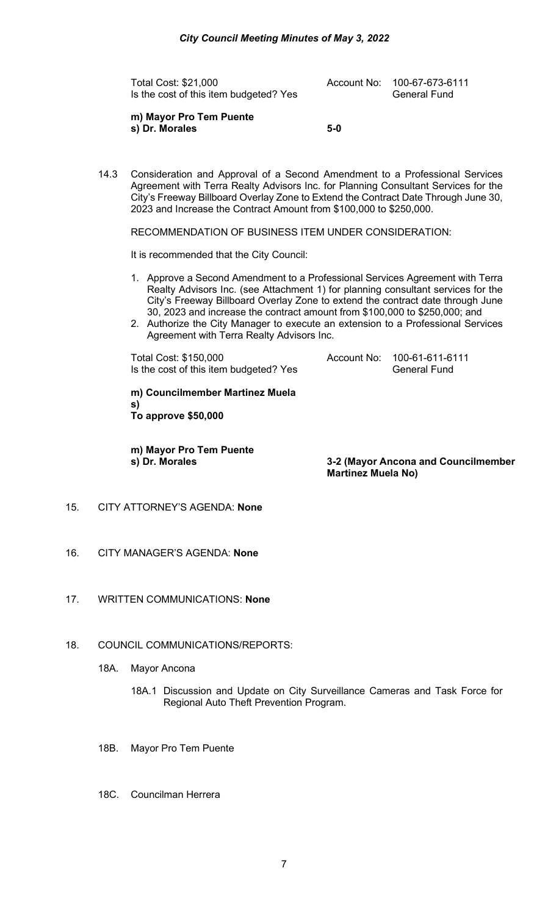Total Cost: \$21,000 Account No: 100-67-673-6111 Is the cost of this item budgeted? Yes General Fund

**m) Mayor Pro Tem Puente s) Dr. Morales 5-0**

14.3 Consideration and Approval of a Second Amendment to a Professional Services Agreement with Terra Realty Advisors Inc. for Planning Consultant Services for the City's Freeway Billboard Overlay Zone to Extend the Contract Date Through June 30, 2023 and Increase the Contract Amount from \$100,000 to \$250,000.

RECOMMENDATION OF BUSINESS ITEM UNDER CONSIDERATION:

It is recommended that the City Council:

- 1. Approve a Second Amendment to a Professional Services Agreement with Terra Realty Advisors Inc. (see Attachment 1) for planning consultant services for the City's Freeway Billboard Overlay Zone to extend the contract date through June 30, 2023 and increase the contract amount from \$100,000 to \$250,000; and
- 2. Authorize the City Manager to execute an extension to a Professional Services Agreement with Terra Realty Advisors Inc.

Total Cost: \$150,000<br>Is the cost of this item budgeted? Yes **Account No:** 400-61-6111-6111<br>General Fund Is the cost of this item budgeted? Yes

**m) Councilmember Martinez Muela s) To approve \$50,000** 

**m) Mayor Pro Tem Puente**

**3-2 (Mayor Ancona and Councilmember Martinez Muela No)** 

- 15. CITY ATTORNEY'S AGENDA: **None**
- 16. CITY MANAGER'S AGENDA: **None**
- 17. WRITTEN COMMUNICATIONS: **None**
- 18. COUNCIL COMMUNICATIONS/REPORTS:
	- 18A. Mayor Ancona
		- 18A.1 Discussion and Update on City Surveillance Cameras and Task Force for Regional Auto Theft Prevention Program.
	- 18B. Mayor Pro Tem Puente
	- 18C. Councilman Herrera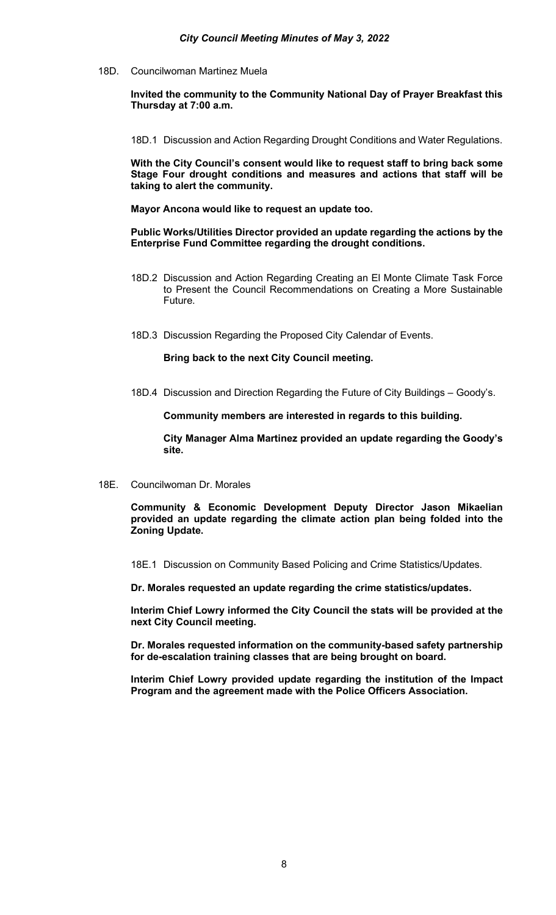18D. Councilwoman Martinez Muela

**Invited the community to the Community National Day of Prayer Breakfast this Thursday at 7:00 a.m.**

18D.1 Discussion and Action Regarding Drought Conditions and Water Regulations.

**With the City Council's consent would like to request staff to bring back some Stage Four drought conditions and measures and actions that staff will be taking to alert the community.** 

**Mayor Ancona would like to request an update too.** 

**Public Works/Utilities Director provided an update regarding the actions by the Enterprise Fund Committee regarding the drought conditions.** 

- 18D.2 Discussion and Action Regarding Creating an El Monte Climate Task Force to Present the Council Recommendations on Creating a More Sustainable Future.
- 18D.3 Discussion Regarding the Proposed City Calendar of Events.

**Bring back to the next City Council meeting.** 

18D.4 Discussion and Direction Regarding the Future of City Buildings – Goody's.

**Community members are interested in regards to this building.** 

**City Manager Alma Martinez provided an update regarding the Goody's site.** 

18E. Councilwoman Dr. Morales

**Community & Economic Development Deputy Director Jason Mikaelian provided an update regarding the climate action plan being folded into the Zoning Update.** 

18E.1 Discussion on Community Based Policing and Crime Statistics/Updates.

**Dr. Morales requested an update regarding the crime statistics/updates.** 

**Interim Chief Lowry informed the City Council the stats will be provided at the next City Council meeting.** 

**Dr. Morales requested information on the community-based safety partnership for de-escalation training classes that are being brought on board.** 

**Interim Chief Lowry provided update regarding the institution of the Impact Program and the agreement made with the Police Officers Association.**